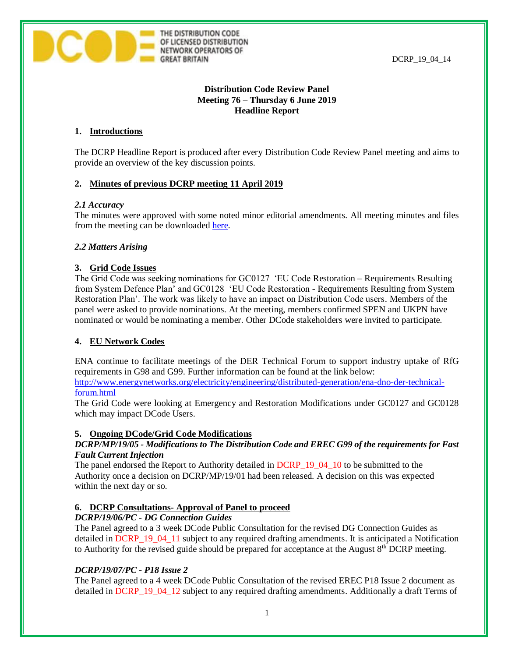

# **Distribution Code Review Panel Meeting 76 – Thursday 6 June 2019 Headline Report**

## **1. Introductions**

The DCRP Headline Report is produced after every Distribution Code Review Panel meeting and aims to provide an overview of the key discussion points.

## **2. Minutes of previous DCRP meeting 11 April 2019**

THE DISTRIBUTION CODE OF LICENSED DISTRIBUTION NETWORK OPERATORS OF

**GREAT BRITAIN** 

## *2.1 Accuracy*

The minutes were approved with some noted minor editorial amendments. All meeting minutes and files from the meeting can be downloaded [here.](http://www.dcode.org.uk/the-gb-distribution-code-review-panel.html)

## *2.2 Matters Arising*

## **3. Grid Code Issues**

The Grid Code was seeking nominations for GC0127 'EU Code Restoration – Requirements Resulting from System Defence Plan' and GC0128 'EU Code Restoration - Requirements Resulting from System Restoration Plan'. The work was likely to have an impact on Distribution Code users. Members of the panel were asked to provide nominations. At the meeting, members confirmed SPEN and UKPN have nominated or would be nominating a member. Other DCode stakeholders were invited to participate.

## **4. EU Network Codes**

ENA continue to facilitate meetings of the DER Technical Forum to support industry uptake of RfG requirements in G98 and G99. Further information can be found at the link below:

[http://www.energynetworks.org/electricity/engineering/distributed-generation/ena-dno-der-technical](http://www.energynetworks.org/electricity/engineering/distributed-generation/ena-dno-der-technical-forum.html)[forum.html](http://www.energynetworks.org/electricity/engineering/distributed-generation/ena-dno-der-technical-forum.html)

The Grid Code were looking at Emergency and Restoration Modifications under GC0127 and GC0128 which may impact DCode Users.

## **5. Ongoing DCode/Grid Code Modifications**

## *DCRP/MP/19/05 - Modifications to The Distribution Code and EREC G99 of the requirements for Fast Fault Current Injection*

The panel endorsed the Report to Authority detailed in DCRP\_19\_04\_10 to be submitted to the Authority once a decision on DCRP/MP/19/01 had been released. A decision on this was expected within the next day or so.

## **6. DCRP Consultations- Approval of Panel to proceed**

# *DCRP/19/06/PC - DG Connection Guides*

The Panel agreed to a 3 week DCode Public Consultation for the revised DG Connection Guides as detailed in DCRP\_19\_04\_11 subject to any required drafting amendments. It is anticipated a Notification to Authority for the revised guide should be prepared for acceptance at the August  $8<sup>th</sup> DCRP$  meeting.

# *DCRP/19/07/PC - P18 Issue 2*

The Panel agreed to a 4 week DCode Public Consultation of the revised EREC P18 Issue 2 document as detailed in DCRP 19\_04\_12 subject to any required drafting amendments. Additionally a draft Terms of